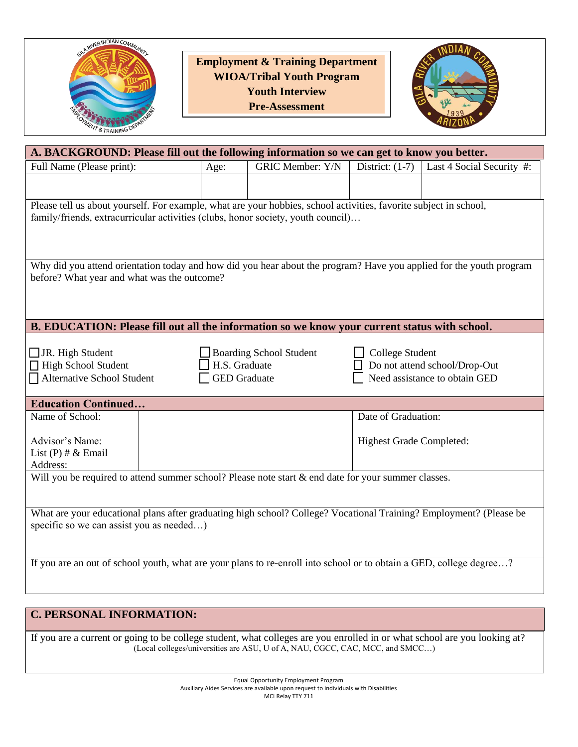

**Employment & Training Department WIOA/Tribal Youth Program Youth Interview Pre-Assessment** 



| A. BACKGROUND: Please fill out the following information so we can get to know you better.                          |                     |                                |                                 |                               |  |  |  |  |  |
|---------------------------------------------------------------------------------------------------------------------|---------------------|--------------------------------|---------------------------------|-------------------------------|--|--|--|--|--|
| Full Name (Please print):                                                                                           | Age:                | <b>GRIC Member: Y/N</b>        | District: $(1-7)$               | Last 4 Social Security #:     |  |  |  |  |  |
|                                                                                                                     |                     |                                |                                 |                               |  |  |  |  |  |
|                                                                                                                     |                     |                                |                                 |                               |  |  |  |  |  |
| Please tell us about yourself. For example, what are your hobbies, school activities, favorite subject in school,   |                     |                                |                                 |                               |  |  |  |  |  |
| family/friends, extracurricular activities (clubs, honor society, youth council)                                    |                     |                                |                                 |                               |  |  |  |  |  |
|                                                                                                                     |                     |                                |                                 |                               |  |  |  |  |  |
|                                                                                                                     |                     |                                |                                 |                               |  |  |  |  |  |
| Why did you attend orientation today and how did you hear about the program? Have you applied for the youth program |                     |                                |                                 |                               |  |  |  |  |  |
| before? What year and what was the outcome?                                                                         |                     |                                |                                 |                               |  |  |  |  |  |
|                                                                                                                     |                     |                                |                                 |                               |  |  |  |  |  |
|                                                                                                                     |                     |                                |                                 |                               |  |  |  |  |  |
| B. EDUCATION: Please fill out all the information so we know your current status with school.                       |                     |                                |                                 |                               |  |  |  |  |  |
|                                                                                                                     |                     |                                |                                 |                               |  |  |  |  |  |
| $\Box$ JR. High Student                                                                                             |                     | <b>Boarding School Student</b> | College Student                 |                               |  |  |  |  |  |
| High School Student<br>H.S. Graduate<br>Do not attend school/Drop-Out                                               |                     |                                |                                 |                               |  |  |  |  |  |
| <b>Alternative School Student</b>                                                                                   | <b>GED</b> Graduate |                                |                                 | Need assistance to obtain GED |  |  |  |  |  |
|                                                                                                                     |                     |                                |                                 |                               |  |  |  |  |  |
| <b>Education Continued</b>                                                                                          |                     |                                |                                 |                               |  |  |  |  |  |
| Name of School:                                                                                                     |                     |                                | Date of Graduation:             |                               |  |  |  |  |  |
|                                                                                                                     |                     |                                |                                 |                               |  |  |  |  |  |
| Advisor's Name:                                                                                                     |                     |                                | <b>Highest Grade Completed:</b> |                               |  |  |  |  |  |
| List $(P)$ # & Email<br>Address:                                                                                    |                     |                                |                                 |                               |  |  |  |  |  |
| Will you be required to attend summer school? Please note start $\&$ end date for your summer classes.              |                     |                                |                                 |                               |  |  |  |  |  |
|                                                                                                                     |                     |                                |                                 |                               |  |  |  |  |  |
|                                                                                                                     |                     |                                |                                 |                               |  |  |  |  |  |
| What are your educational plans after graduating high school? College? Vocational Training? Employment? (Please be  |                     |                                |                                 |                               |  |  |  |  |  |
| specific so we can assist you as needed)                                                                            |                     |                                |                                 |                               |  |  |  |  |  |
|                                                                                                                     |                     |                                |                                 |                               |  |  |  |  |  |
|                                                                                                                     |                     |                                |                                 |                               |  |  |  |  |  |
| If you are an out of school youth, what are your plans to re-enroll into school or to obtain a GED, college degree? |                     |                                |                                 |                               |  |  |  |  |  |
|                                                                                                                     |                     |                                |                                 |                               |  |  |  |  |  |

## **C. PERSONAL INFORMATION:**

If you are a current or going to be college student, what colleges are you enrolled in or what school are you looking at? (Local colleges/universities are ASU, U of A, NAU, CGCC, CAC, MCC, and SMCC…)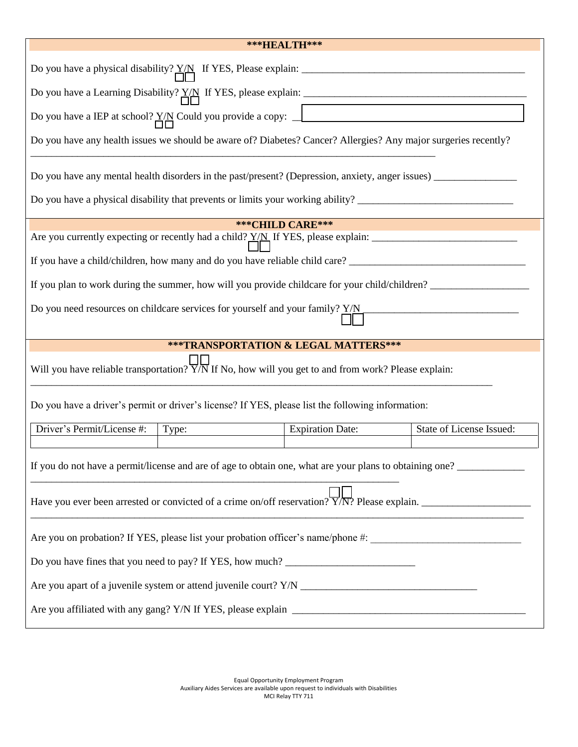| ***HEALTH***                                                                                                                                                                                                          |                         |                          |  |  |  |  |  |  |  |
|-----------------------------------------------------------------------------------------------------------------------------------------------------------------------------------------------------------------------|-------------------------|--------------------------|--|--|--|--|--|--|--|
|                                                                                                                                                                                                                       |                         |                          |  |  |  |  |  |  |  |
| Do you have a Learning Disability? $Y/N$ If YES, please explain:                                                                                                                                                      |                         |                          |  |  |  |  |  |  |  |
| Do you have a IEP at school? $\frac{Y}{\Box \Box}$ Could you provide a copy: $\Box$                                                                                                                                   |                         |                          |  |  |  |  |  |  |  |
| Do you have any health issues we should be aware of? Diabetes? Cancer? Allergies? Any major surgeries recently?                                                                                                       |                         |                          |  |  |  |  |  |  |  |
|                                                                                                                                                                                                                       |                         |                          |  |  |  |  |  |  |  |
| Do you have a physical disability that prevents or limits your working ability? ______________________________                                                                                                        |                         |                          |  |  |  |  |  |  |  |
| *** CHILD CARE***                                                                                                                                                                                                     |                         |                          |  |  |  |  |  |  |  |
|                                                                                                                                                                                                                       |                         |                          |  |  |  |  |  |  |  |
|                                                                                                                                                                                                                       |                         |                          |  |  |  |  |  |  |  |
|                                                                                                                                                                                                                       |                         |                          |  |  |  |  |  |  |  |
| Do you need resources on childcare services for yourself and your family? Y/N                                                                                                                                         |                         |                          |  |  |  |  |  |  |  |
|                                                                                                                                                                                                                       |                         |                          |  |  |  |  |  |  |  |
| ***TRANSPORTATION & LEGAL MATTERS***                                                                                                                                                                                  |                         |                          |  |  |  |  |  |  |  |
| Will you have reliable transportation? $\overline{Y/N}$ If No, how will you get to and from work? Please explain:                                                                                                     |                         |                          |  |  |  |  |  |  |  |
| Do you have a driver's permit or driver's license? If YES, please list the following information:                                                                                                                     |                         |                          |  |  |  |  |  |  |  |
| Driver's Permit/License #:<br>Type:                                                                                                                                                                                   | <b>Expiration Date:</b> | State of License Issued: |  |  |  |  |  |  |  |
| If you do not have a permit/license and are of age to obtain one, what are your plans to obtaining one?<br>Have you ever been arrested or convicted of a crime on/off reservation? $\overline{Y/N}$ ? Please explain. |                         |                          |  |  |  |  |  |  |  |
|                                                                                                                                                                                                                       |                         |                          |  |  |  |  |  |  |  |
| Are you on probation? If YES, please list your probation officer's name/phone #: _____________________________                                                                                                        |                         |                          |  |  |  |  |  |  |  |
| Do you have fines that you need to pay? If YES, how much? _______________________                                                                                                                                     |                         |                          |  |  |  |  |  |  |  |
|                                                                                                                                                                                                                       |                         |                          |  |  |  |  |  |  |  |
|                                                                                                                                                                                                                       |                         |                          |  |  |  |  |  |  |  |

Equal Opportunity Employment Program Auxiliary Aides Services are available upon request to individuals with Disabilities MCI Relay TTY 711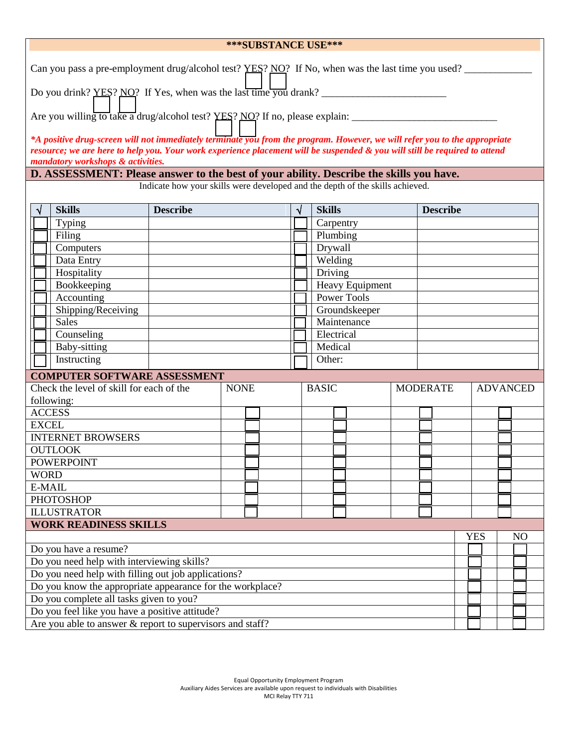| ***SUBSTANCE USE***                                                                                                                                             |                                                                                                                            |                 |             |  |                    |                 |  |            |                 |  |
|-----------------------------------------------------------------------------------------------------------------------------------------------------------------|----------------------------------------------------------------------------------------------------------------------------|-----------------|-------------|--|--------------------|-----------------|--|------------|-----------------|--|
| Can you pass a pre-employment drug/alcohol test? YES? NO? If No, when was the last time you used?                                                               |                                                                                                                            |                 |             |  |                    |                 |  |            |                 |  |
| Do you drink? YES? NO? If Yes, when was the last time you drank? _________                                                                                      |                                                                                                                            |                 |             |  |                    |                 |  |            |                 |  |
| Are you willing to take a drug/alcohol test? YES? NO? If no, please explain: _______                                                                            |                                                                                                                            |                 |             |  |                    |                 |  |            |                 |  |
|                                                                                                                                                                 | *A positive drug-screen will not immediately terminate you from the program. However, we will refer you to the appropriate |                 |             |  |                    |                 |  |            |                 |  |
| resource; we are here to help you. Your work experience placement will be suspended & you will still be required to attend<br>mandatory workshops & activities. |                                                                                                                            |                 |             |  |                    |                 |  |            |                 |  |
| D. ASSESSMENT: Please answer to the best of your ability. Describe the skills you have.                                                                         |                                                                                                                            |                 |             |  |                    |                 |  |            |                 |  |
| Indicate how your skills were developed and the depth of the skills achieved.                                                                                   |                                                                                                                            |                 |             |  |                    |                 |  |            |                 |  |
|                                                                                                                                                                 | <b>Skills</b>                                                                                                              | <b>Describe</b> |             |  | <b>Skills</b>      | <b>Describe</b> |  |            |                 |  |
|                                                                                                                                                                 | Typing                                                                                                                     |                 |             |  | Carpentry          |                 |  |            |                 |  |
|                                                                                                                                                                 | Filing                                                                                                                     |                 |             |  | Plumbing           |                 |  |            |                 |  |
|                                                                                                                                                                 | Computers                                                                                                                  |                 |             |  | Drywall            |                 |  |            |                 |  |
|                                                                                                                                                                 | Data Entry                                                                                                                 |                 |             |  | Welding            |                 |  |            |                 |  |
|                                                                                                                                                                 | Hospitality                                                                                                                |                 |             |  | Driving            |                 |  |            |                 |  |
|                                                                                                                                                                 | Bookkeeping                                                                                                                |                 |             |  | Heavy Equipment    |                 |  |            |                 |  |
|                                                                                                                                                                 | Accounting                                                                                                                 |                 |             |  | <b>Power Tools</b> |                 |  |            |                 |  |
|                                                                                                                                                                 | Shipping/Receiving                                                                                                         |                 |             |  | Groundskeeper      |                 |  |            |                 |  |
|                                                                                                                                                                 | <b>Sales</b>                                                                                                               |                 |             |  | Maintenance        |                 |  |            |                 |  |
|                                                                                                                                                                 | Counseling                                                                                                                 |                 |             |  | Electrical         |                 |  |            |                 |  |
|                                                                                                                                                                 | Baby-sitting                                                                                                               |                 |             |  | Medical            |                 |  |            |                 |  |
|                                                                                                                                                                 | Instructing                                                                                                                |                 |             |  | Other:             |                 |  |            |                 |  |
|                                                                                                                                                                 | <b>COMPUTER SOFTWARE ASSESSMENT</b>                                                                                        |                 |             |  |                    |                 |  |            |                 |  |
|                                                                                                                                                                 | Check the level of skill for each of the                                                                                   |                 | <b>NONE</b> |  | <b>BASIC</b>       | <b>MODERATE</b> |  |            | <b>ADVANCED</b> |  |
|                                                                                                                                                                 | following:                                                                                                                 |                 |             |  |                    |                 |  |            |                 |  |
|                                                                                                                                                                 | <b>ACCESS</b>                                                                                                              |                 |             |  |                    |                 |  |            |                 |  |
| <b>EXCEL</b>                                                                                                                                                    |                                                                                                                            |                 |             |  |                    |                 |  |            |                 |  |
| <b>INTERNET BROWSERS</b>                                                                                                                                        |                                                                                                                            |                 |             |  |                    |                 |  |            |                 |  |
| <b>OUTLOOK</b>                                                                                                                                                  |                                                                                                                            |                 |             |  |                    |                 |  |            |                 |  |
|                                                                                                                                                                 | <b>POWERPOINT</b>                                                                                                          |                 |             |  |                    |                 |  |            |                 |  |
| <b>WORD</b>                                                                                                                                                     |                                                                                                                            |                 |             |  |                    |                 |  |            |                 |  |
| E-MAIL                                                                                                                                                          |                                                                                                                            |                 |             |  |                    |                 |  |            |                 |  |
|                                                                                                                                                                 | <b>PHOTOSHOP</b>                                                                                                           |                 |             |  |                    |                 |  |            |                 |  |
|                                                                                                                                                                 | <b>ILLUSTRATOR</b>                                                                                                         |                 |             |  |                    |                 |  |            |                 |  |
|                                                                                                                                                                 | <b>WORK READINESS SKILLS</b>                                                                                               |                 |             |  |                    |                 |  |            |                 |  |
|                                                                                                                                                                 |                                                                                                                            |                 |             |  |                    |                 |  | <b>YES</b> | N <sub>O</sub>  |  |
|                                                                                                                                                                 | Do you have a resume?                                                                                                      |                 |             |  |                    |                 |  |            |                 |  |
| Do you need help with interviewing skills?                                                                                                                      |                                                                                                                            |                 |             |  |                    |                 |  |            |                 |  |
| Do you need help with filling out job applications?                                                                                                             |                                                                                                                            |                 |             |  |                    |                 |  |            |                 |  |
| Do you know the appropriate appearance for the workplace?                                                                                                       |                                                                                                                            |                 |             |  |                    |                 |  |            |                 |  |
|                                                                                                                                                                 | Do you complete all tasks given to you?                                                                                    |                 |             |  |                    |                 |  |            |                 |  |
|                                                                                                                                                                 | Do you feel like you have a positive attitude?                                                                             |                 |             |  |                    |                 |  |            |                 |  |
|                                                                                                                                                                 | Are you able to answer $\&$ report to supervisors and staff?                                                               |                 |             |  |                    |                 |  |            |                 |  |